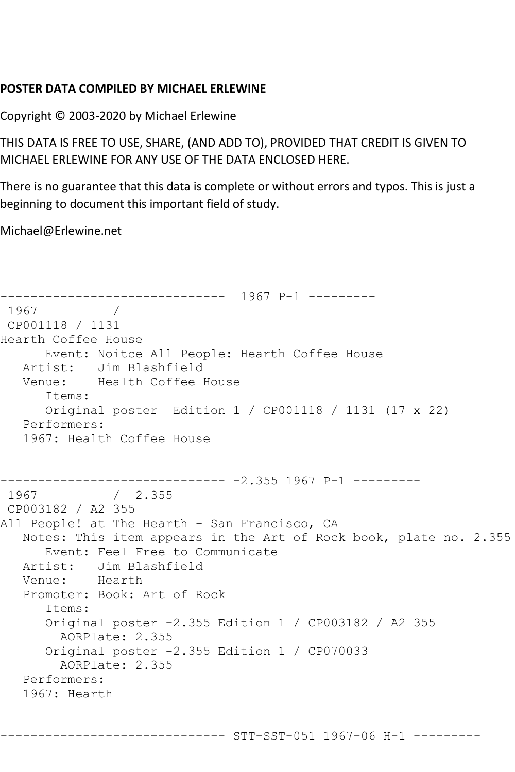## **POSTER DATA COMPILED BY MICHAEL ERLEWINE**

Copyright © 2003-2020 by Michael Erlewine

THIS DATA IS FREE TO USE, SHARE, (AND ADD TO), PROVIDED THAT CREDIT IS GIVEN TO MICHAEL ERLEWINE FOR ANY USE OF THE DATA ENCLOSED HERE.

There is no guarantee that this data is complete or without errors and typos. This is just a beginning to document this important field of study.

Michael@Erlewine.net

------------------------------ 1967 P-1 --------- 1967 / CP001118 / 1131 Hearth Coffee House Event: Noitce All People: Hearth Coffee House Artist: Jim Blashfield Venue: Health Coffee House Items: Original poster Edition 1 / CP001118 / 1131 (17 x 22) Performers: 1967: Health Coffee House ------------------------------ -2.355 1967 P-1 ---------  $/ 2.355$ CP003182 / A2 355 All People! at The Hearth - San Francisco, CA Notes: This item appears in the Art of Rock book, plate no. 2.355 Event: Feel Free to Communicate Artist: Jim Blashfield Venue: Hearth Promoter: Book: Art of Rock Items: Original poster -2.355 Edition 1 / CP003182 / A2 355 AORPlate: 2.355 Original poster -2.355 Edition 1 / CP070033 AORPlate: 2.355 Performers: 1967: Hearth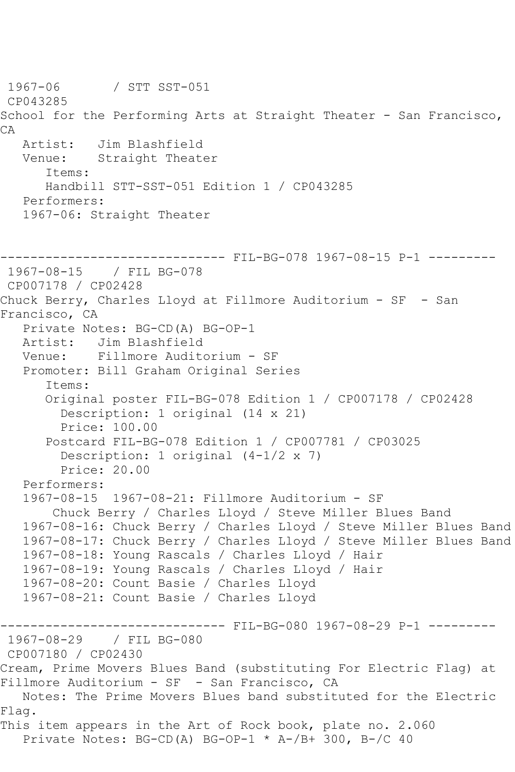```
1967-06 / STT SST-051
CP043285
School for the Performing Arts at Straight Theater - San Francisco,
CA
   Artist: Jim Blashfield
   Venue: Straight Theater
      Items:
      Handbill STT-SST-051 Edition 1 / CP043285
   Performers:
   1967-06: Straight Theater
------------------------------ FIL-BG-078 1967-08-15 P-1 ---------
1967-08-15 / FIL BG-078
CP007178 / CP02428
Chuck Berry, Charles Lloyd at Fillmore Auditorium - SF - San 
Francisco, CA
   Private Notes: BG-CD(A) BG-OP-1
   Artist: Jim Blashfield
   Venue: Fillmore Auditorium - SF
   Promoter: Bill Graham Original Series
      Items:
      Original poster FIL-BG-078 Edition 1 / CP007178 / CP02428
         Description: 1 original (14 x 21)
         Price: 100.00
      Postcard FIL-BG-078 Edition 1 / CP007781 / CP03025
         Description: 1 original (4-1/2 x 7)
         Price: 20.00
   Performers:
   1967-08-15 1967-08-21: Fillmore Auditorium - SF
       Chuck Berry / Charles Lloyd / Steve Miller Blues Band
   1967-08-16: Chuck Berry / Charles Lloyd / Steve Miller Blues Band
   1967-08-17: Chuck Berry / Charles Lloyd / Steve Miller Blues Band
   1967-08-18: Young Rascals / Charles Lloyd / Hair
   1967-08-19: Young Rascals / Charles Lloyd / Hair
   1967-08-20: Count Basie / Charles Lloyd
   1967-08-21: Count Basie / Charles Lloyd
------------------------------ FIL-BG-080 1967-08-29 P-1 ---------
1967-08-29 / FIL BG-080
CP007180 / CP02430
Cream, Prime Movers Blues Band (substituting For Electric Flag) at 
Fillmore Auditorium - SF - San Francisco, CA
   Notes: The Prime Movers Blues band substituted for the Electric 
Flag.
This item appears in the Art of Rock book, plate no. 2.060
   Private Notes: BG-CD(A) BG-OP-1 * A-/B+ 300, B-/C 40
```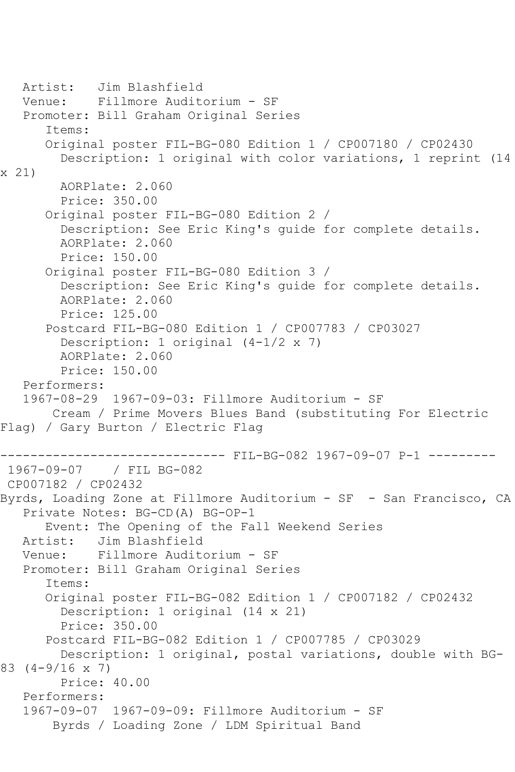```
 Artist: Jim Blashfield
   Venue: Fillmore Auditorium - SF
    Promoter: Bill Graham Original Series
       Items:
       Original poster FIL-BG-080 Edition 1 / CP007180 / CP02430
         Description: 1 original with color variations, 1 reprint (14 
x 21)
         AORPlate: 2.060 
         Price: 350.00
       Original poster FIL-BG-080 Edition 2 / 
         Description: See Eric King's guide for complete details.
         AORPlate: 2.060 
         Price: 150.00
       Original poster FIL-BG-080 Edition 3 / 
         Description: See Eric King's guide for complete details.
         AORPlate: 2.060 
         Price: 125.00
       Postcard FIL-BG-080 Edition 1 / CP007783 / CP03027
         Description: 1 original (4-1/2 x 7)
         AORPlate: 2.060 
         Price: 150.00
    Performers:
    1967-08-29 1967-09-03: Fillmore Auditorium - SF
        Cream / Prime Movers Blues Band (substituting For Electric 
Flag) / Gary Burton / Electric Flag
------------------------------ FIL-BG-082 1967-09-07 P-1 ---------
1967-09-07 / FIL BG-082
CP007182 / CP02432
Byrds, Loading Zone at Fillmore Auditorium - SF - San Francisco, CA
    Private Notes: BG-CD(A) BG-OP-1
  Event: The Opening of the Fall Weekend Series<br>Artist: Jim Blashfield
   Artist: Jim Blashfield<br>Venue: Fillmore Audit
            Fillmore Auditorium - SF
   Promoter: Bill Graham Original Series
       Items:
       Original poster FIL-BG-082 Edition 1 / CP007182 / CP02432
         Description: 1 original (14 x 21)
         Price: 350.00
       Postcard FIL-BG-082 Edition 1 / CP007785 / CP03029
         Description: 1 original, postal variations, double with BG-
83 (4-9/16 x 7)
         Price: 40.00
    Performers:
    1967-09-07 1967-09-09: Fillmore Auditorium - SF
        Byrds / Loading Zone / LDM Spiritual Band
```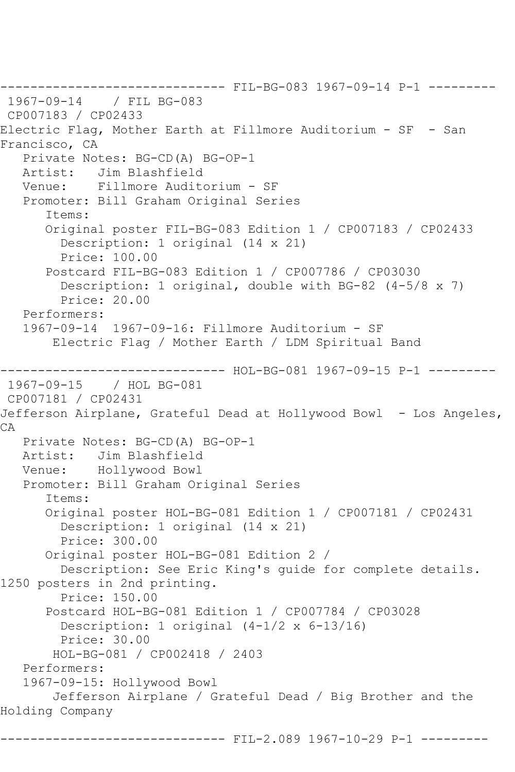------------------------ FIL-BG-083 1967-09-14 P-1 ---------<br>09-14 / FIL BG-083 1967-09-14 CP007183 / CP02433 Electric Flag, Mother Earth at Fillmore Auditorium - SF - San Francisco, CA Private Notes: BG-CD(A) BG-OP-1 Artist: Jim Blashfield Venue: Fillmore Auditorium - SF Promoter: Bill Graham Original Series Items: Original poster FIL-BG-083 Edition 1 / CP007183 / CP02433 Description: 1 original (14 x 21) Price: 100.00 Postcard FIL-BG-083 Edition 1 / CP007786 / CP03030 Description: 1 original, double with BG-82 (4-5/8 x 7) Price: 20.00 Performers: 1967-09-14 1967-09-16: Fillmore Auditorium - SF Electric Flag / Mother Earth / LDM Spiritual Band ------------------------------ HOL-BG-081 1967-09-15 P-1 --------- 1967-09-15 / HOL BG-081 CP007181 / CP02431 Jefferson Airplane, Grateful Dead at Hollywood Bowl - Los Angeles, CA Private Notes: BG-CD(A) BG-OP-1<br>Artist: Jim Blashfield Artist: Jim Blashfield Venue: Hollywood Bowl Promoter: Bill Graham Original Series Items: Original poster HOL-BG-081 Edition 1 / CP007181 / CP02431 Description: 1 original (14 x 21) Price: 300.00 Original poster HOL-BG-081 Edition 2 / Description: See Eric King's guide for complete details. 1250 posters in 2nd printing. Price: 150.00 Postcard HOL-BG-081 Edition 1 / CP007784 / CP03028 Description: 1 original (4-1/2 x 6-13/16) Price: 30.00 HOL-BG-081 / CP002418 / 2403 Performers: 1967-09-15: Hollywood Bowl Jefferson Airplane / Grateful Dead / Big Brother and the Holding Company ------------------------------ FIL-2.089 1967-10-29 P-1 ---------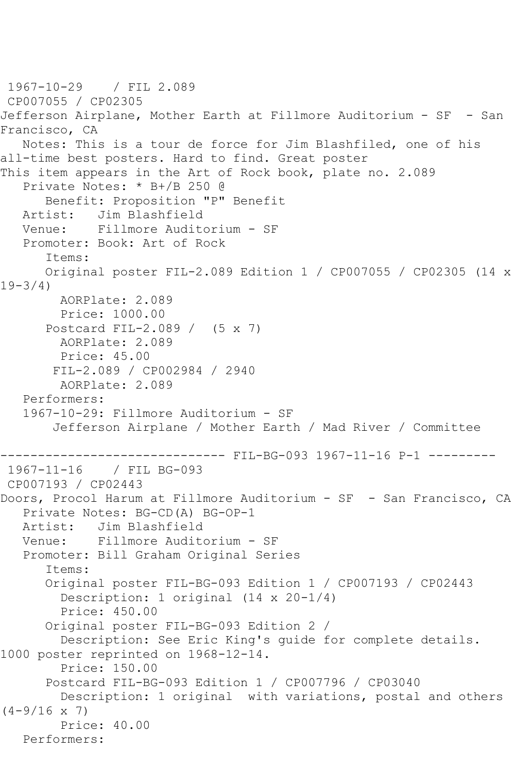1967-10-29 / FIL 2.089 CP007055 / CP02305 Jefferson Airplane, Mother Earth at Fillmore Auditorium - SF - San Francisco, CA Notes: This is a tour de force for Jim Blashfiled, one of his all-time best posters. Hard to find. Great poster This item appears in the Art of Rock book, plate no. 2.089 Private Notes: \* B+/B 250 @ Benefit: Proposition "P" Benefit Artist: Jim Blashfield Venue: Fillmore Auditorium - SF Promoter: Book: Art of Rock Items: Original poster FIL-2.089 Edition 1 / CP007055 / CP02305 (14 x 19-3/4) AORPlate: 2.089 Price: 1000.00 Postcard FIL-2.089 / (5 x 7) AORPlate: 2.089 Price: 45.00 FIL-2.089 / CP002984 / 2940 AORPlate: 2.089 Performers: 1967-10-29: Fillmore Auditorium - SF Jefferson Airplane / Mother Earth / Mad River / Committee ------------------------------ FIL-BG-093 1967-11-16 P-1 --------- 1967-11-16 / FIL BG-093 CP007193 / CP02443 Doors, Procol Harum at Fillmore Auditorium - SF - San Francisco, CA Private Notes: BG-CD(A) BG-OP-1 Artist: Jim Blashfield<br>Venue: Fillmore Audite Fillmore Auditorium - SF Promoter: Bill Graham Original Series Items: Original poster FIL-BG-093 Edition 1 / CP007193 / CP02443 Description: 1 original (14 x 20-1/4) Price: 450.00 Original poster FIL-BG-093 Edition 2 / Description: See Eric King's guide for complete details. 1000 poster reprinted on 1968-12-14. Price: 150.00 Postcard FIL-BG-093 Edition 1 / CP007796 / CP03040 Description: 1 original with variations, postal and others  $(4-9/16 \times 7)$  Price: 40.00 Performers: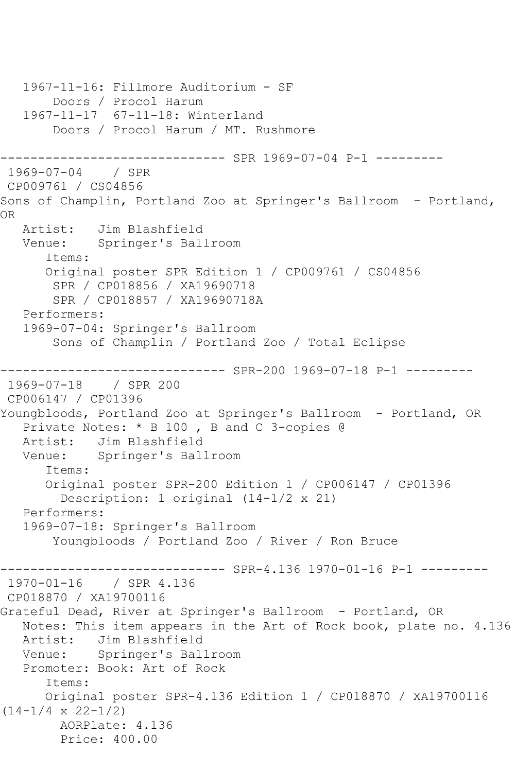1967-11-16: Fillmore Auditorium - SF Doors / Procol Harum 1967-11-17 67-11-18: Winterland Doors / Procol Harum / MT. Rushmore ------------------------------ SPR 1969-07-04 P-1 --------- 1969-07-04 / SPR CP009761 / CS04856 Sons of Champlin, Portland Zoo at Springer's Ballroom - Portland, OR Artist: Jim Blashfield Venue: Springer's Ballroom Items: Original poster SPR Edition 1 / CP009761 / CS04856 SPR / CP018856 / XA19690718 SPR / CP018857 / XA19690718A Performers: 1969-07-04: Springer's Ballroom Sons of Champlin / Portland Zoo / Total Eclipse ------------------------------ SPR-200 1969-07-18 P-1 --------- 1969-07-18 / SPR 200 CP006147 / CP01396 Youngbloods, Portland Zoo at Springer's Ballroom - Portland, OR Private Notes: \* B 100 , B and C 3-copies @ Artist: Jim Blashfield Venue: Springer's Ballroom Items: Original poster SPR-200 Edition 1 / CP006147 / CP01396 Description: 1 original (14-1/2 x 21) Performers: 1969-07-18: Springer's Ballroom Youngbloods / Portland Zoo / River / Ron Bruce ------- SPR-4.136 1970-01-16 P-1 ---------1970-01-16 / SPR 4.136 CP018870 / XA19700116 Grateful Dead, River at Springer's Ballroom - Portland, OR Notes: This item appears in the Art of Rock book, plate no. 4.136 Artist: Jim Blashfield Venue: Springer's Ballroom Promoter: Book: Art of Rock Items: Original poster SPR-4.136 Edition 1 / CP018870 / XA19700116  $(14-1/4 \times 22-1/2)$  AORPlate: 4.136 Price: 400.00